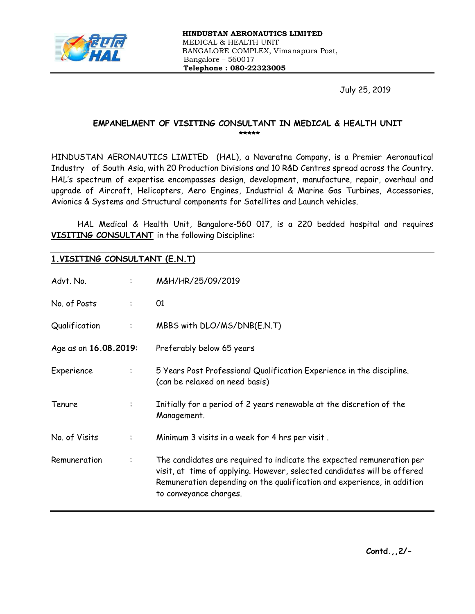

July 25, 2019

### EMPANELMENT OF VISITING CONSULTANT IN MEDICAL & HEALTH UNIT \*\*\*\*\*

HINDUSTAN AERONAUTICS LIMITED (HAL), a Navaratna Company, is a Premier Aeronautical Industry of South Asia, with 20 Production Divisions and 10 R&D Centres spread across the Country. HAL's spectrum of expertise encompasses design, development, manufacture, repair, overhaul and upgrade of Aircraft, Helicopters, Aero Engines, Industrial & Marine Gas Turbines, Accessories, Avionics & Systems and Structural components for Satellites and Launch vehicles.

HAL Medical & Health Unit, Bangalore-560 017, is a 220 bedded hospital and requires VISITING CONSULTANT in the following Discipline:

# 1.VISITING CONSULTANT (E.N.T)

| Advt. No.             | $\ddot{\phantom{a}}$ | M&H/HR/25/09/2019                                                                                                                                                                                                                                      |
|-----------------------|----------------------|--------------------------------------------------------------------------------------------------------------------------------------------------------------------------------------------------------------------------------------------------------|
| No. of Posts          | ÷                    | 01                                                                                                                                                                                                                                                     |
| Qualification         | ÷                    | MBBS with DLO/MS/DNB(E.N.T)                                                                                                                                                                                                                            |
| Age as on 16.08.2019: |                      | Preferably below 65 years                                                                                                                                                                                                                              |
| Experience            | ÷                    | 5 Years Post Professional Qualification Experience in the discipline.<br>(can be relaxed on need basis)                                                                                                                                                |
| Tenure                | ÷                    | Initially for a period of 2 years renewable at the discretion of the<br>Management.                                                                                                                                                                    |
| No. of Visits         | ÷                    | Minimum 3 visits in a week for 4 hrs per visit.                                                                                                                                                                                                        |
| Remuneration          | $\ddot{\cdot}$       | The candidates are required to indicate the expected remuneration per<br>visit, at time of applying. However, selected candidates will be offered<br>Remuneration depending on the qualification and experience, in addition<br>to conveyance charges. |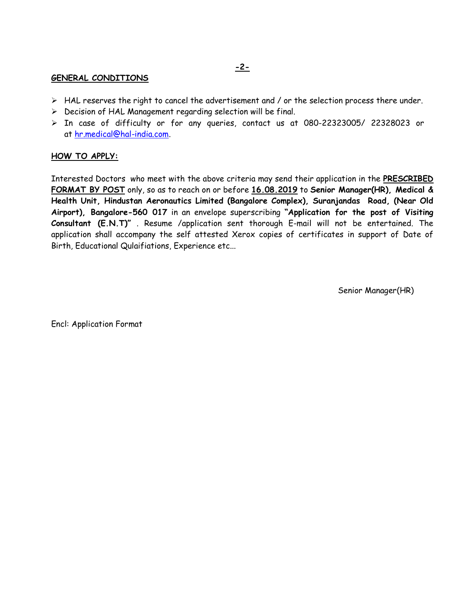#### GENERAL CONDITIONS

- $\triangleright$  HAL reserves the right to cancel the advertisement and / or the selection process there under.
- $\triangleright$  Decision of HAL Management regarding selection will be final.
- In case of difficulty or for any queries, contact us at 080-22323005/ 22328023 or at hr.medical@hal-india.com.

### HOW TO APPLY:

Interested Doctors who meet with the above criteria may send their application in the PRESCRIBED FORMAT BY POST only, so as to reach on or before 16.08.2019 to Senior Manager(HR), Medical & Health Unit, Hindustan Aeronautics Limited (Bangalore Complex), Suranjandas Road, (Near Old Airport), Bangalore-560 017 in an envelope superscribing "Application for the post of Visiting Consultant (E.N.T)" . Resume /application sent thorough E-mail will not be entertained. The application shall accompany the self attested Xerox copies of certificates in support of Date of Birth, Educational Qulaifiations, Experience etc...

Senior Manager(HR)

Encl: Application Format